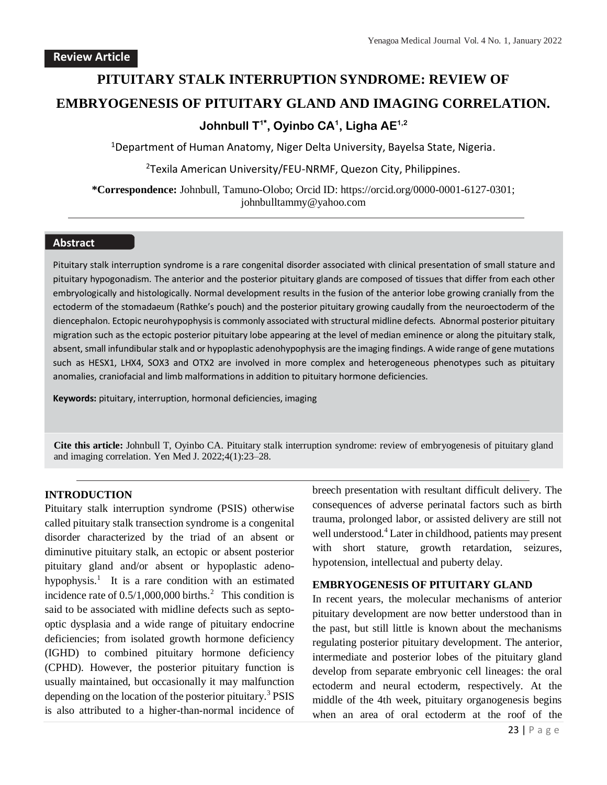# **PITUITARY STALK INTERRUPTION SYNDROME: REVIEW OF EMBRYOGENESIS OF PITUITARY GLAND AND IMAGING CORRELATION. Johnbull T1\* , Oyinbo CA<sup>1</sup> , Ligha AE1,2**

<sup>1</sup>Department of Human Anatomy, Niger Delta University, Bayelsa State, Nigeria.

<sup>2</sup>Texila American University/FEU-NRMF, Quezon City, Philippines.

**\*Correspondence:** Johnbull, Tamuno-Olobo; Orcid ID: https://orcid.org/0000-0001-6127-0301; johnbulltammy@yahoo.com

## **Abstract**

Pituitary stalk interruption syndrome is a rare congenital disorder associated with clinical presentation of small stature and pituitary hypogonadism. The anterior and the posterior pituitary glands are composed of tissues that differ from each other embryologically and histologically. Normal development results in the fusion of the anterior lobe growing cranially from the ectoderm of the stomadaeum (Rathke's pouch) and the posterior pituitary growing caudally from the neuroectoderm of the diencephalon. Ectopic neurohypophysis is commonly associated with structural midline defects. Abnormal posterior pituitary migration such as the ectopic posterior pituitary lobe appearing at the level of median eminence or along the pituitary stalk, absent, small infundibular stalk and or hypoplastic adenohypophysis are the imaging findings. A wide range of gene mutations such as HESX1, LHX4, SOX3 and OTX2 are involved in more complex and heterogeneous phenotypes such as pituitary anomalies, craniofacial and limb malformations in addition to pituitary hormone deficiencies.

**Keywords:** pituitary, interruption, hormonal deficiencies, imaging

**Cite this article:** Johnbull T, Oyinbo CA. Pituitary stalk interruption syndrome: review of embryogenesis of pituitary gland and imaging correlation. Yen Med J. 2022;4(1):23–28.

### **INTRODUCTION**

Pituitary stalk interruption syndrome (PSIS) otherwise called pituitary stalk transection syndrome is a congenital disorder characterized by the triad of an absent or diminutive pituitary stalk, an ectopic or absent posterior pituitary gland and/or absent or hypoplastic adenohypophysis.<sup>1</sup> It is a rare condition with an estimated incidence rate of  $0.5/1,000,000$  births.<sup>2</sup> This condition is said to be associated with midline defects such as septooptic dysplasia and a wide range of pituitary endocrine deficiencies; from isolated growth hormone deficiency (IGHD) to combined pituitary hormone deficiency (CPHD). However, the posterior pituitary function is usually maintained, but occasionally it may malfunction depending on the location of the posterior pituitary.<sup>3</sup> PSIS is also attributed to a higher-than-normal incidence of breech presentation with resultant difficult delivery. The consequences of adverse perinatal factors such as birth trauma, prolonged labor, or assisted delivery are still not well understood.<sup>4</sup> Later in childhood, patients may present with short stature, growth retardation, seizures, hypotension, intellectual and puberty delay.

#### **EMBRYOGENESIS OF PITUITARY GLAND**

In recent years, the molecular mechanisms of anterior pituitary development are now better understood than in the past, but still little is known about the mechanisms regulating posterior pituitary development. The anterior, intermediate and posterior lobes of the pituitary gland develop from separate embryonic cell lineages: the oral ectoderm and neural ectoderm, respectively. At the middle of the 4th week, pituitary organogenesis begins when an area of oral ectoderm at the roof of the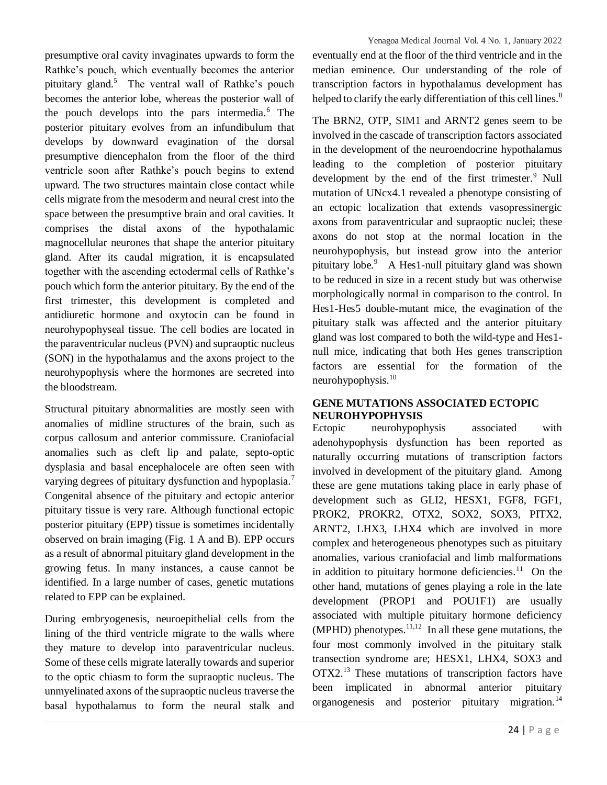presumptive oral cavity invaginates upwards to form the Rathke's pouch, which eventually becomes the anterior pituitary gland.<sup>5</sup> The ventral wall of Rathke's pouch becomes the anterior lobe, whereas the posterior wall of the pouch develops into the pars intermedia.<sup>6</sup> The posterior pituitary evolves from an infundibulum that develops by downward evagination of the dorsal presumptive diencephalon from the floor of the third ventricle soon after Rathke's pouch begins to extend upward. The two structures maintain close contact while cells migrate from the mesoderm and neural crest into the space between the presumptive brain and oral cavities. It comprises the distal axons of the hypothalamic magnocellular neurones that shape the anterior pituitary gland. After its caudal migration, it is encapsulated together with the ascending ectodermal cells of Rathke's pouch which form the anterior pituitary. By the end of the first trimester, this development is completed and antidiuretic hormone and oxytocin can be found in neurohypophyseal tissue. The cell bodies are located in the paraventricular nucleus (PVN) and supraoptic nucleus (SON) in the hypothalamus and the axons project to the neurohypophysis where the hormones are secreted into the bloodstream.

Structural pituitary abnormalities are mostly seen with anomalies of midline structures of the brain, such as corpus callosum and anterior commissure. Craniofacial anomalies such as cleft lip and palate, septo-optic dysplasia and basal encephalocele are often seen with varying degrees of pituitary dysfunction and hypoplasia.<sup>7</sup> Congenital absence of the pituitary and ectopic anterior pituitary tissue is very rare. Although functional ectopic posterior pituitary (EPP) tissue is sometimes incidentally observed on brain imaging (Fig. 1 A and B). EPP occurs as a result of abnormal pituitary gland development in the growing fetus. In many instances, a cause cannot be identified. In a large number of cases, genetic mutations related to EPP can be explained.

During embryogenesis, neuroepithelial cells from the lining of the third ventricle migrate to the walls where they mature to develop into paraventricular nucleus. Some of these cells migrate laterally towards and superior to the optic chiasm to form the supraoptic nucleus. The unmyelinated axons of the supraoptic nucleus traverse the basal hypothalamus to form the neural stalk and Yenagoa Medical Journal Vol. 4 No. 1, January 2022

eventually end at the floor of the third ventricle and in the median eminence. Our understanding of the role of transcription factors in hypothalamus development has helped to clarify the early differentiation of this cell lines.<sup>8</sup>

The BRN2, OTP, SIM1 and ARNT2 genes seem to be involved in the cascade of transcription factors associated in the development of the neuroendocrine hypothalamus leading to the completion of posterior pituitary development by the end of the first trimester.<sup>9</sup> Null mutation of UNcx4.1 revealed a phenotype consisting of an ectopic localization that extends vasopressinergic axons from paraventricular and supraoptic nuclei; these axons do not stop at the normal location in the neurohypophysis, but instead grow into the anterior pituitary lobe.<sup>9</sup> A Hes1-null pituitary gland was shown to be reduced in size in a recent study but was otherwise morphologically normal in comparison to the control. In Hes1-Hes5 double-mutant mice, the evagination of the pituitary stalk was affected and the anterior pituitary gland was lost compared to both the wild-type and Hes1 null mice, indicating that both Hes genes transcription factors are essential for the formation of the neurohypophysis. $10$ 

## **GENE MUTATIONS ASSOCIATED ECTOPIC NEUROHYPOPHYSIS**

Ectopic neurohypophysis associated with adenohypophysis dysfunction has been reported as naturally occurring mutations of transcription factors involved in development of the pituitary gland. Among these are gene mutations taking place in early phase of development such as GLI2, HESX1, FGF8, FGF1, PROK2, PROKR2, OTX2, SOX2, SOX3, PITX2, ARNT2, LHX3, LHX4 which are involved in more complex and heterogeneous phenotypes such as pituitary anomalies, various craniofacial and limb malformations in addition to pituitary hormone deficiencies. $11$  On the other hand, mutations of genes playing a role in the late development (PROP1 and POU1F1) are usually associated with multiple pituitary hormone deficiency (MPHD) phenotypes.  $11,12$  In all these gene mutations, the four most commonly involved in the pituitary stalk transection syndrome are; HESX1, LHX4, SOX3 and OTX2.<sup>13</sup> These mutations of transcription factors have been implicated in abnormal anterior pituitary organogenesis and posterior pituitary migration.<sup>14</sup>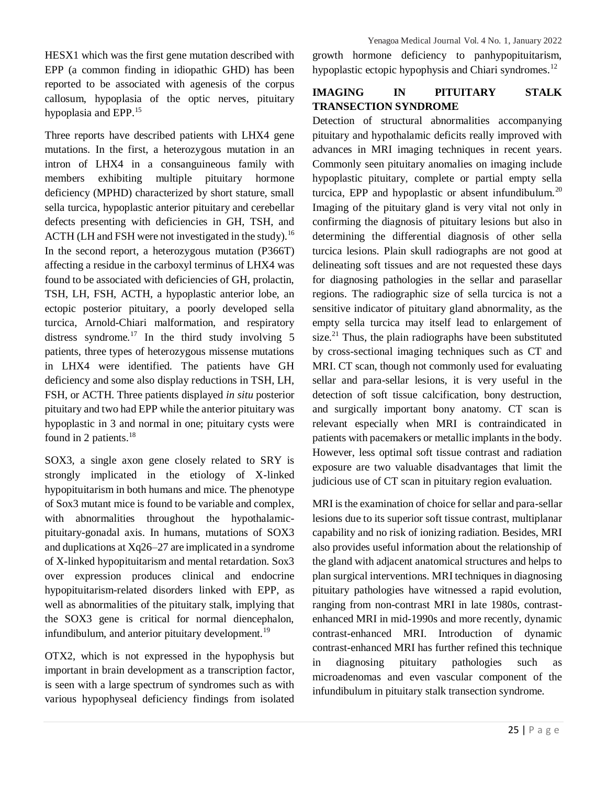HESX1 which was the first gene mutation described with EPP (a common finding in idiopathic GHD) has been reported to be associated with agenesis of the corpus callosum, hypoplasia of the optic nerves, pituitary hypoplasia and EPP.<sup>15</sup>

Three reports have described patients with LHX4 gene mutations. In the first, a heterozygous mutation in an intron of LHX4 in a consanguineous family with members exhibiting multiple pituitary hormone deficiency (MPHD) characterized by short stature, small sella turcica, hypoplastic anterior pituitary and cerebellar defects presenting with deficiencies in GH, TSH, and ACTH (LH and FSH were not investigated in the study).<sup>16</sup> In the second report, a heterozygous mutation (P366T) affecting a residue in the carboxyl terminus of LHX4 was found to be associated with deficiencies of GH, prolactin, TSH, LH, FSH, ACTH, a hypoplastic anterior lobe, an ectopic posterior pituitary, a poorly developed sella turcica, Arnold-Chiari malformation, and respiratory distress syndrome.<sup>17</sup> In the third study involving  $5$ patients, three types of heterozygous missense mutations in LHX4 were identified. The patients have GH deficiency and some also display reductions in TSH, LH, FSH, or ACTH. Three patients displayed *in situ* posterior pituitary and two had EPP while the anterior pituitary was hypoplastic in 3 and normal in one; pituitary cysts were found in 2 patients. $18$ 

SOX3, a single axon gene closely related to SRY is strongly implicated in the etiology of X-linked hypopituitarism in both humans and mice. The phenotype of Sox3 mutant mice is found to be variable and complex, with abnormalities throughout the hypothalamicpituitary-gonadal axis. In humans, mutations of SOX3 and duplications at Xq26–27 are implicated in a syndrome of X-linked hypopituitarism and mental retardation. Sox3 over expression produces clinical and endocrine hypopituitarism-related disorders linked with EPP, as well as abnormalities of the pituitary stalk, implying that the SOX3 gene is critical for normal diencephalon, infundibulum, and anterior pituitary development. $19$ 

OTX2, which is not expressed in the hypophysis but important in brain development as a transcription factor, is seen with a large spectrum of syndromes such as with various hypophyseal deficiency findings from isolated growth hormone deficiency to panhypopituitarism, hypoplastic ectopic hypophysis and Chiari syndromes.<sup>12</sup>

## **IMAGING IN PITUITARY STALK TRANSECTION SYNDROME**

Detection of structural abnormalities accompanying pituitary and hypothalamic deficits really improved with advances in MRI imaging techniques in recent years. Commonly seen pituitary anomalies on imaging include hypoplastic pituitary, complete or partial empty sella turcica, EPP and hypoplastic or absent infundibulum. $^{20}$ Imaging of the pituitary gland is very vital not only in confirming the diagnosis of pituitary lesions but also in determining the differential diagnosis of other sella turcica lesions. Plain skull radiographs are not good at delineating soft tissues and are not requested these days for diagnosing pathologies in the sellar and parasellar regions. The radiographic size of sella turcica is not a sensitive indicator of pituitary gland abnormality, as the empty sella turcica may itself lead to enlargement of size.<sup>21</sup> Thus, the plain radiographs have been substituted by cross-sectional imaging techniques such as CT and MRI. CT scan, though not commonly used for evaluating sellar and para-sellar lesions, it is very useful in the detection of soft tissue calcification, bony destruction, and surgically important bony anatomy. CT scan is relevant especially when MRI is contraindicated in patients with pacemakers or metallic implants in the body. However, less optimal soft tissue contrast and radiation exposure are two valuable disadvantages that limit the judicious use of CT scan in pituitary region evaluation.

MRI is the examination of choice for sellar and para-sellar lesions due to its superior soft tissue contrast, multiplanar capability and no risk of ionizing radiation. Besides, MRI also provides useful information about the relationship of the gland with adjacent anatomical structures and helps to plan surgical interventions. MRI techniques in diagnosing pituitary pathologies have witnessed a rapid evolution, ranging from non-contrast MRI in late 1980s, contrastenhanced MRI in mid-1990s and more recently, dynamic contrast-enhanced MRI. Introduction of dynamic contrast-enhanced MRI has further refined this technique in diagnosing pituitary pathologies such as microadenomas and even vascular component of the infundibulum in pituitary stalk transection syndrome.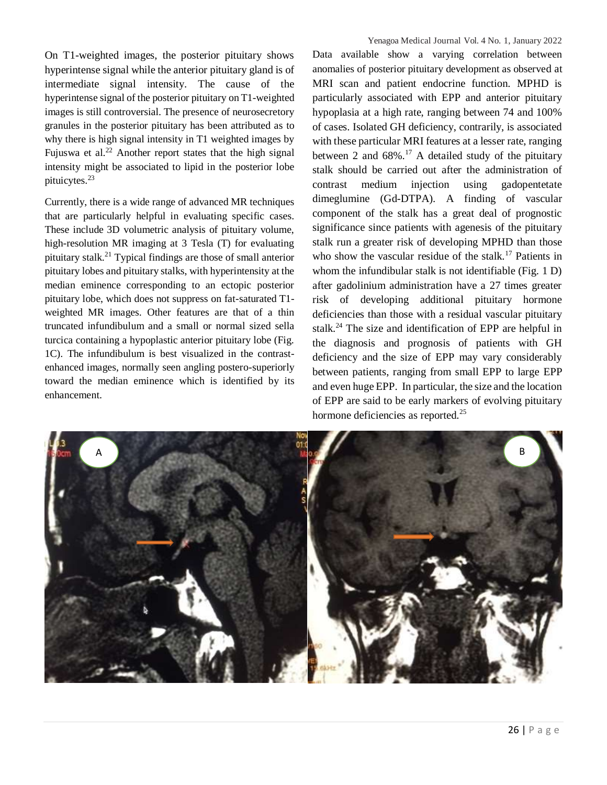On T1-weighted images, the posterior pituitary shows hyperintense signal while the anterior pituitary gland is of intermediate signal intensity. The cause of the hyperintense signal of the posterior pituitary on T1-weighted images is still controversial. The presence of neurosecretory granules in the posterior pituitary has been attributed as to why there is high signal intensity in T1 weighted images by Fujuswa et al. $^{22}$  Another report states that the high signal intensity might be associated to lipid in the posterior lobe pituicytes.<sup>23</sup>

Currently, there is a wide range of advanced MR techniques that are particularly helpful in evaluating specific cases. These include 3D volumetric analysis of pituitary volume, high-resolution MR imaging at 3 Tesla (T) for evaluating pituitary stalk.<sup>21</sup> Typical findings are those of small anterior pituitary lobes and pituitary stalks, with hyperintensity at the median eminence corresponding to an ectopic posterior pituitary lobe, which does not suppress on fat-saturated T1 weighted MR images. Other features are that of a thin truncated infundibulum and a small or normal sized sella turcica containing a hypoplastic anterior pituitary lobe (Fig. 1C). The infundibulum is best visualized in the contrastenhanced images, normally seen angling postero-superiorly toward the median eminence which is identified by its enhancement.

Data available show a varying correlation between anomalies of posterior pituitary development as observed at MRI scan and patient endocrine function. MPHD is particularly associated with EPP and anterior pituitary hypoplasia at a high rate, ranging between 74 and 100% of cases. Isolated GH deficiency, contrarily, is associated with these particular MRI features at a lesser rate, ranging between 2 and  $68\%$ .<sup>17</sup> A detailed study of the pituitary stalk should be carried out after the administration of contrast medium injection using gadopentetate dimeglumine (Gd-DTPA). A finding of vascular component of the stalk has a great deal of prognostic significance since patients with agenesis of the pituitary stalk run a greater risk of developing MPHD than those who show the vascular residue of the stalk.<sup>17</sup> Patients in whom the infundibular stalk is not identifiable (Fig. 1 D) after gadolinium administration have a 27 times greater risk of developing additional pituitary hormone deficiencies than those with a residual vascular pituitary stalk.<sup>24</sup> The size and identification of EPP are helpful in the diagnosis and prognosis of patients with GH deficiency and the size of EPP may vary considerably between patients, ranging from small EPP to large EPP and even huge EPP. In particular, the size and the location of EPP are said to be early markers of evolving pituitary hormone deficiencies as reported.<sup>25</sup>

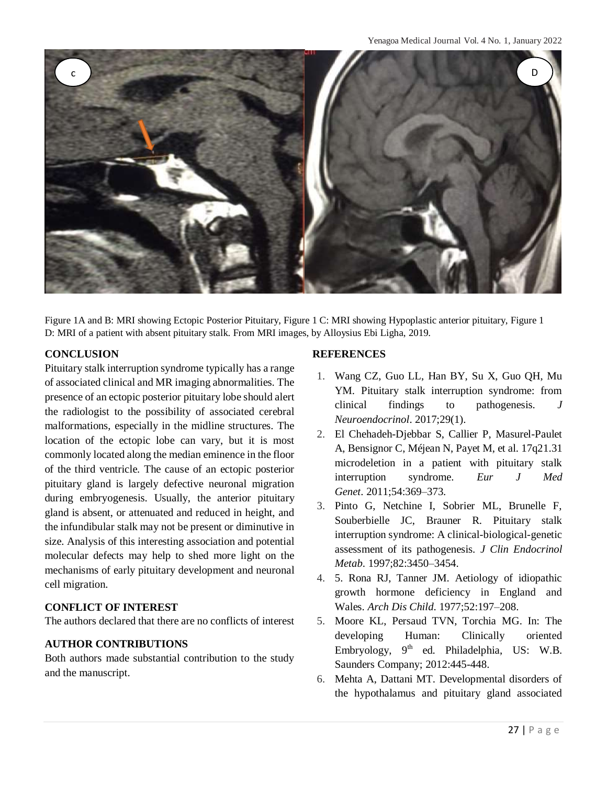

Figure 1A and B: MRI showing Ectopic Posterior Pituitary, Figure 1 C: MRI showing Hypoplastic anterior pituitary, Figure 1 D: MRI of a patient with absent pituitary stalk. From MRI images, by Alloysius Ebi Ligha, 2019.

## **CONCLUSION**

Pituitary stalk interruption syndrome typically has a range of associated clinical and MR imaging abnormalities. The presence of an ectopic posterior pituitary lobe should alert the radiologist to the possibility of associated cerebral malformations, especially in the midline structures. The location of the ectopic lobe can vary, but it is most commonly located along the median eminence in the floor of the third ventricle. The cause of an ectopic posterior pituitary gland is largely defective neuronal migration during embryogenesis. Usually, the anterior pituitary gland is absent, or attenuated and reduced in height, and the infundibular stalk may not be present or diminutive in size. Analysis of this interesting association and potential molecular defects may help to shed more light on the mechanisms of early pituitary development and neuronal cell migration.

## **CONFLICT OF INTEREST**

The authors declared that there are no conflicts of interest

## **AUTHOR CONTRIBUTIONS**

Both authors made substantial contribution to the study and the manuscript.

## **REFERENCES**

- 1. Wang CZ, Guo LL, Han BY, Su X, Guo QH, Mu YM. Pituitary stalk interruption syndrome: from clinical findings to pathogenesis. *J Neuroendocrinol*. 2017;29(1).
- 2. El Chehadeh-Djebbar S, Callier P, Masurel-Paulet A, Bensignor C, Méjean N, Payet M, et al. 17q21.31 microdeletion in a patient with pituitary stalk interruption syndrome. *Eur J Med Genet*. 2011;54:369–373.
- 3. Pinto G, Netchine I, Sobrier ML, Brunelle F, Souberbielle JC, Brauner R. Pituitary stalk interruption syndrome: A clinical-biological-genetic assessment of its pathogenesis. *J Clin Endocrinol Metab*. 1997;82:3450–3454.
- 4. 5. Rona RJ, Tanner JM. Aetiology of idiopathic growth hormone deficiency in England and Wales. *Arch Dis Child*. 1977;52:197–208.
- 5. Moore KL, Persaud TVN, Torchia MG. In: The developing Human: Clinically oriented Embryology, 9<sup>th</sup> ed. Philadelphia, US: W.B. Saunders Company; 2012:445-448.
- 6. Mehta A, Dattani MT. Developmental disorders of the hypothalamus and pituitary gland associated